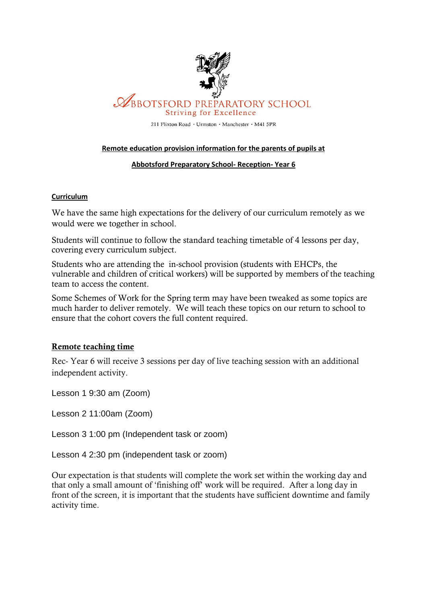

# **ABBOTSFORD PREPARATORY SCHOOL Striving for Excellence**

211 Flixton Road · Urmston · Manchester · M41 5PR

#### **Remote education provision information for the parents of pupils at**

#### **Abbotsford Preparatory School- Reception- Year 6**

#### **Curriculum**

We have the same high expectations for the delivery of our curriculum remotely as we would were we together in school.

Students will continue to follow the standard teaching timetable of 4 lessons per day, covering every curriculum subject.

Students who are attending the in-school provision (students with EHCPs, the vulnerable and children of critical workers) will be supported by members of the teaching team to access the content.

Some Schemes of Work for the Spring term may have been tweaked as some topics are much harder to deliver remotely. We will teach these topics on our return to school to ensure that the cohort covers the full content required.

#### Remote teaching time

Rec- Year 6 will receive 3 sessions per day of live teaching session with an additional independent activity.

Lesson 1 9:30 am (Zoom)

Lesson 2 11:00am (Zoom)

Lesson 3 1:00 pm (Independent task or zoom)

Lesson 4 2:30 pm (independent task or zoom)

Our expectation is that students will complete the work set within the working day and that only a small amount of 'finishing off' work will be required. After a long day in front of the screen, it is important that the students have sufficient downtime and family activity time.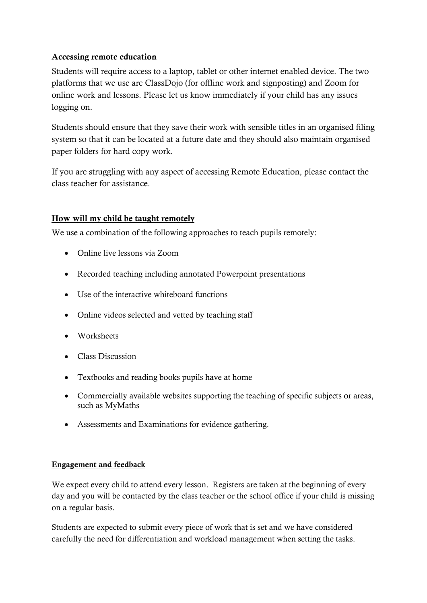## Accessing remote education

Students will require access to a laptop, tablet or other internet enabled device. The two platforms that we use are ClassDojo (for offline work and signposting) and Zoom for online work and lessons. Please let us know immediately if your child has any issues logging on.

Students should ensure that they save their work with sensible titles in an organised filing system so that it can be located at a future date and they should also maintain organised paper folders for hard copy work.

If you are struggling with any aspect of accessing Remote Education, please contact the class teacher for assistance.

# How will my child be taught remotely

We use a combination of the following approaches to teach pupils remotely:

- Online live lessons via Zoom
- Recorded teaching including annotated Powerpoint presentations
- Use of the interactive whiteboard functions
- Online videos selected and vetted by teaching staff
- Worksheets
- Class Discussion
- Textbooks and reading books pupils have at home
- Commercially available websites supporting the teaching of specific subjects or areas, such as MyMaths
- Assessments and Examinations for evidence gathering.

### Engagement and feedback

We expect every child to attend every lesson. Registers are taken at the beginning of every day and you will be contacted by the class teacher or the school office if your child is missing on a regular basis.

Students are expected to submit every piece of work that is set and we have considered carefully the need for differentiation and workload management when setting the tasks.